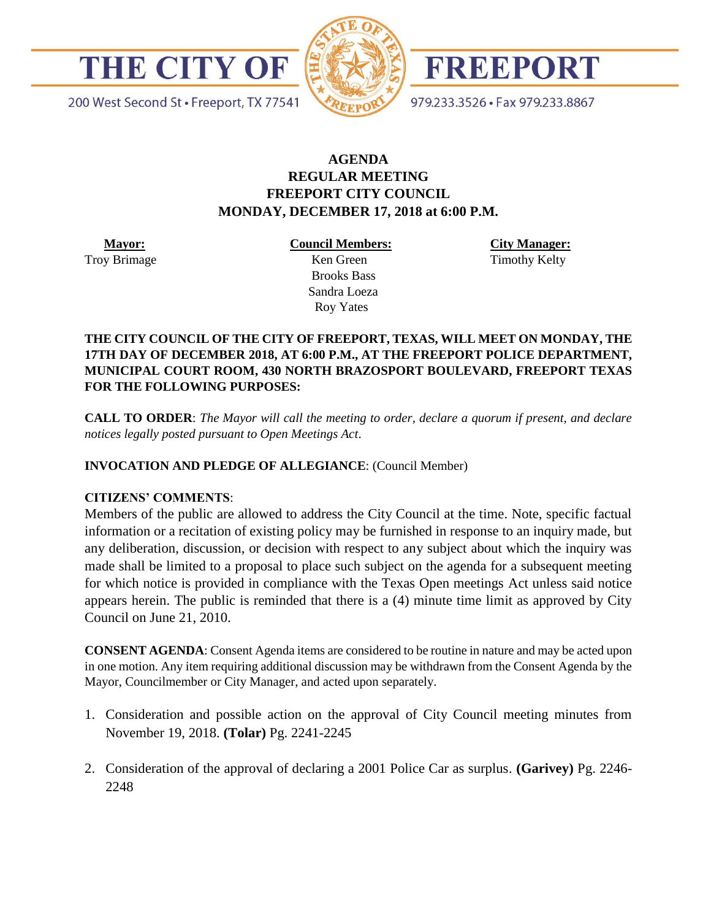



FREEPORT

200 West Second St · Freeport, TX 77541

979.233.3526 · Fax 979.233.8867

# **AGENDA REGULAR MEETING FREEPORT CITY COUNCIL MONDAY, DECEMBER 17, 2018 at 6:00 P.M.**

 **Mayor:** Troy Brimage **Council Members:**

**City Manager:** Timothy Kelty

 Ken Green Brooks Bass Sandra Loeza Roy Yates

### **THE CITY COUNCIL OF THE CITY OF FREEPORT, TEXAS, WILL MEET ON MONDAY, THE 17TH DAY OF DECEMBER 2018, AT 6:00 P.M., AT THE FREEPORT POLICE DEPARTMENT, MUNICIPAL COURT ROOM, 430 NORTH BRAZOSPORT BOULEVARD, FREEPORT TEXAS FOR THE FOLLOWING PURPOSES:**

**CALL TO ORDER**: *The Mayor will call the meeting to order, declare a quorum if present, and declare notices legally posted pursuant to Open Meetings Act*.

### **INVOCATION AND PLEDGE OF ALLEGIANCE**: (Council Member)

#### **CITIZENS' COMMENTS**:

Members of the public are allowed to address the City Council at the time. Note, specific factual information or a recitation of existing policy may be furnished in response to an inquiry made, but any deliberation, discussion, or decision with respect to any subject about which the inquiry was made shall be limited to a proposal to place such subject on the agenda for a subsequent meeting for which notice is provided in compliance with the Texas Open meetings Act unless said notice appears herein. The public is reminded that there is a (4) minute time limit as approved by City Council on June 21, 2010.

**CONSENT AGENDA**: Consent Agenda items are considered to be routine in nature and may be acted upon in one motion. Any item requiring additional discussion may be withdrawn from the Consent Agenda by the Mayor, Councilmember or City Manager, and acted upon separately.

- 1. Consideration and possible action on the approval of City Council meeting minutes from November 19, 2018. **(Tolar)** Pg. 2241-2245
- 2. Consideration of the approval of declaring a 2001 Police Car as surplus. **(Garivey)** Pg. 2246- 2248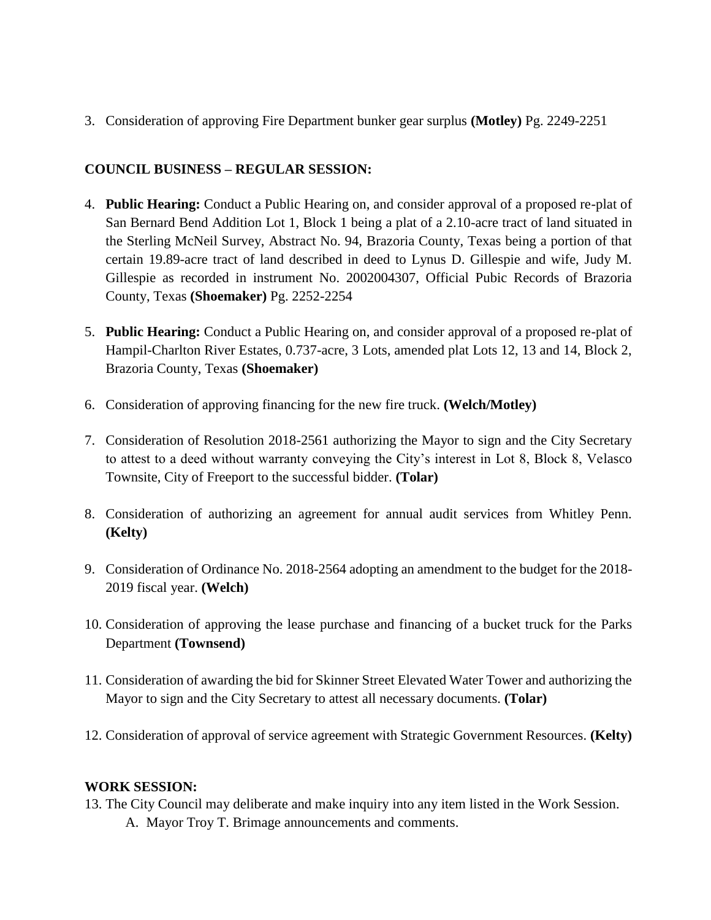3. Consideration of approving Fire Department bunker gear surplus **(Motley)** Pg. 2249-2251

# **COUNCIL BUSINESS – REGULAR SESSION:**

- 4. **Public Hearing:** Conduct a Public Hearing on, and consider approval of a proposed re-plat of San Bernard Bend Addition Lot 1, Block 1 being a plat of a 2.10-acre tract of land situated in the Sterling McNeil Survey, Abstract No. 94, Brazoria County, Texas being a portion of that certain 19.89-acre tract of land described in deed to Lynus D. Gillespie and wife, Judy M. Gillespie as recorded in instrument No. 2002004307, Official Pubic Records of Brazoria County, Texas **(Shoemaker)** Pg. 2252-2254
- 5. **Public Hearing:** Conduct a Public Hearing on, and consider approval of a proposed re-plat of Hampil-Charlton River Estates, 0.737-acre, 3 Lots, amended plat Lots 12, 13 and 14, Block 2, Brazoria County, Texas **(Shoemaker)**
- 6. Consideration of approving financing for the new fire truck. **(Welch/Motley)**
- 7. Consideration of Resolution 2018-2561 authorizing the Mayor to sign and the City Secretary to attest to a deed without warranty conveying the City's interest in Lot 8, Block 8, Velasco Townsite, City of Freeport to the successful bidder. **(Tolar)**
- 8. Consideration of authorizing an agreement for annual audit services from Whitley Penn. **(Kelty)**
- 9. Consideration of Ordinance No. 2018-2564 adopting an amendment to the budget for the 2018- 2019 fiscal year. **(Welch)**
- 10. Consideration of approving the lease purchase and financing of a bucket truck for the Parks Department **(Townsend)**
- 11. Consideration of awarding the bid for Skinner Street Elevated Water Tower and authorizing the Mayor to sign and the City Secretary to attest all necessary documents. **(Tolar)**
- 12. Consideration of approval of service agreement with Strategic Government Resources. **(Kelty)**

#### **WORK SESSION:**

13. The City Council may deliberate and make inquiry into any item listed in the Work Session. A. Mayor Troy T. Brimage announcements and comments.